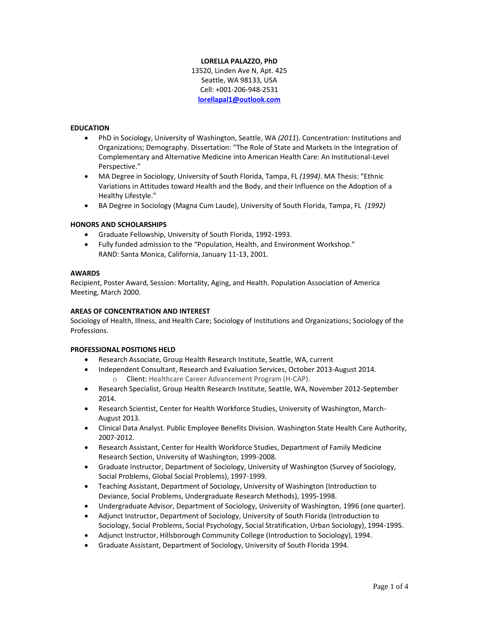#### **LORELLA PALAZZO, PhD**

13520, Linden Ave N, Apt. 425 Seattle, WA 98133, USA Cell: +001-206-948-2531 **[lorellapal1@outlook.com](mailto:lorellapal1@outlook.com)**

### **EDUCATION**

- PhD in Sociology, University of Washington, Seattle, WA *(2011*). Concentration: Institutions and Organizations; Demography. Dissertation: "The Role of State and Markets in the Integration of Complementary and Alternative Medicine into American Health Care: An Institutional-Level Perspective."
- MA Degree in Sociology, University of South Florida, Tampa, FL *(1994)*. MA Thesis: "Ethnic Variations in Attitudes toward Health and the Body, and their Influence on the Adoption of a Healthy Lifestyle."
- BA Degree in Sociology (Magna Cum Laude), University of South Florida, Tampa, FL *(1992)*

### **HONORS AND SCHOLARSHIPS**

- Graduate Fellowship, University of South Florida, 1992-1993.
- Fully funded admission to the "Population, Health, and Environment Workshop." RAND: Santa Monica, California, January 11-13, 2001.

#### **AWARDS**

Recipient, Poster Award, Session: Mortality, Aging, and Health. Population Association of America Meeting, March 2000.

#### **AREAS OF CONCENTRATION AND INTEREST**

Sociology of Health, Illness, and Health Care; Sociology of Institutions and Organizations; Sociology of the Professions.

#### **PROFESSIONAL POSITIONS HELD**

- Research Associate, Group Health Research Institute, Seattle, WA, current
- Independent Consultant, Research and Evaluation Services, October 2013-August 2014.
	- o Client: Healthcare Career Advancement Program (H-CAP).
- Research Specialist, Group Health Research Institute, Seattle, WA, November 2012-September 2014.
- Research Scientist, Center for Health Workforce Studies, University of Washington, March-August 2013.
- Clinical Data Analyst. Public Employee Benefits Division. Washington State Health Care Authority, 2007-2012.
- Research Assistant, Center for Health Workforce Studies, Department of Family Medicine Research Section, University of Washington, 1999-2008.
- Graduate Instructor, Department of Sociology, University of Washington (Survey of Sociology, Social Problems, Global Social Problems), 1997-1999.
- Teaching Assistant, Department of Sociology, University of Washington (Introduction to Deviance, Social Problems, Undergraduate Research Methods), 1995-1998.
- Undergraduate Advisor, Department of Sociology, University of Washington, 1996 (one quarter).
- Adjunct Instructor, Department of Sociology, University of South Florida (Introduction to Sociology, Social Problems, Social Psychology, Social Stratification, Urban Sociology), 1994-1995.
- Adjunct Instructor, Hillsborough Community College (Introduction to Sociology), 1994.
- Graduate Assistant, Department of Sociology, University of South Florida 1994.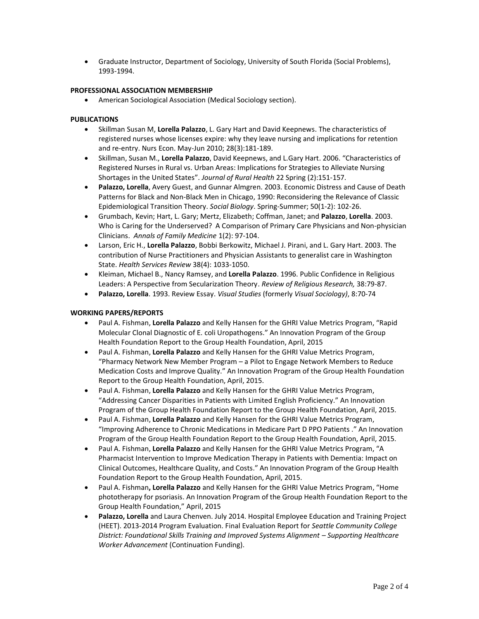Graduate Instructor, Department of Sociology, University of South Florida (Social Problems), 1993-1994.

## **PROFESSIONAL ASSOCIATION MEMBERSHIP**

American Sociological Association (Medical Sociology section).

### **PUBLICATIONS**

- Skillman Susan M, **Lorella Palazzo**, L. Gary Hart and David Keepnews. The characteristics of registered nurses whose licenses expire: why they leave nursing and implications for retention and re-entry. Nurs Econ. May-Jun 2010; 28(3):181-189.
- Skillman, Susan M., **Lorella Palazzo**, David Keepnews, and L.Gary Hart. 2006. "Characteristics of Registered Nurses in Rural vs. Urban Areas: Implications for Strategies to Alleviate Nursing Shortages in the United States". *Journal of Rural Health* 22 Spring (2):151-157.
- **Palazzo, Lorella**, Avery Guest, and Gunnar Almgren. 2003. Economic Distress and Cause of Death Patterns for Black and Non-Black Men in Chicago, 1990: Reconsidering the Relevance of Classic Epidemiological Transition Theory. *Social Biology*. Spring-Summer; 50(1-2): 102-26.
- Grumbach, Kevin; Hart, L. Gary; Mertz, Elizabeth; Coffman, Janet; and **Palazzo**, **Lorella**. 2003. Who is Caring for the Underserved? A Comparison of Primary Care Physicians and Non-physician Clinicians. *Annals of Family Medicine* 1(2): 97-104.
- Larson, Eric H., **Lorella Palazzo**, Bobbi Berkowitz, Michael J. Pirani, and L. Gary Hart. 2003. The contribution of Nurse Practitioners and Physician Assistants to generalist care in Washington State. *Health Services Review* 38(4): 1033-1050.
- Kleiman, Michael B., Nancy Ramsey, and **Lorella Palazzo**. 1996. Public Confidence in Religious Leaders: A Perspective from Secularization Theory. *Review of Religious Research,* 38:79-87.
- **Palazzo, Lorella**. 1993. Review Essay. *Visual Studies* (formerly *Visual Sociology)*, 8:70-74

## **WORKING PAPERS/REPORTS**

- Paul A. Fishman, **Lorella Palazzo** and Kelly Hansen for the GHRI Value Metrics Program, "Rapid Molecular Clonal Diagnostic of E. coli Uropathogens." An Innovation Program of the Group Health Foundation Report to the Group Health Foundation, April, 2015
- Paul A. Fishman, **Lorella Palazzo** and Kelly Hansen for the GHRI Value Metrics Program, "Pharmacy Network New Member Program – a Pilot to Engage Network Members to Reduce Medication Costs and Improve Quality." An Innovation Program of the Group Health Foundation Report to the Group Health Foundation, April, 2015.
- Paul A. Fishman, **Lorella Palazzo** and Kelly Hansen for the GHRI Value Metrics Program, "Addressing Cancer Disparities in Patients with Limited English Proficiency." An Innovation Program of the Group Health Foundation Report to the Group Health Foundation, April, 2015.
- Paul A. Fishman, **Lorella Palazzo** and Kelly Hansen for the GHRI Value Metrics Program, "Improving Adherence to Chronic Medications in Medicare Part D PPO Patients ." An Innovation Program of the Group Health Foundation Report to the Group Health Foundation, April, 2015.
- Paul A. Fishman, **Lorella Palazzo** and Kelly Hansen for the GHRI Value Metrics Program, "A Pharmacist Intervention to Improve Medication Therapy in Patients with Dementia: Impact on Clinical Outcomes, Healthcare Quality, and Costs." An Innovation Program of the Group Health Foundation Report to the Group Health Foundation, April, 2015.
- Paul A. Fishman**, Lorella Palazzo** and Kelly Hansen for the GHRI Value Metrics Program, "Home phototherapy for psoriasis. An Innovation Program of the Group Health Foundation Report to the Group Health Foundation," April, 2015
- **Palazzo, Lorella** and Laura Chenven. July 2014. Hospital Employee Education and Training Project (HEET). 2013-2014 Program Evaluation. Final Evaluation Report for *Seattle Community College District: Foundational Skills Training and Improved Systems Alignment – Supporting Healthcare Worker Advancement* (Continuation Funding).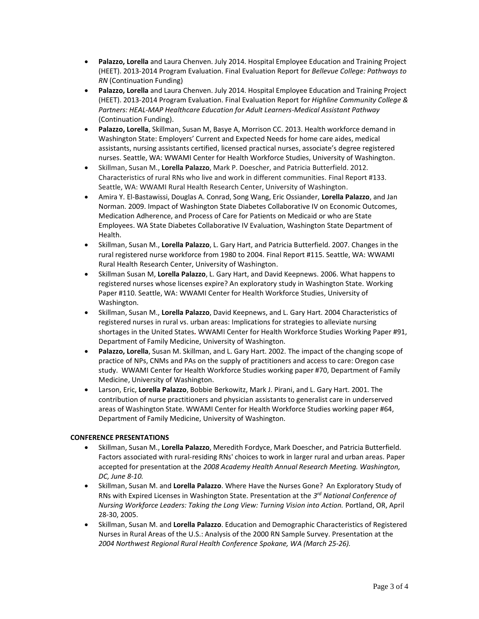- **Palazzo, Lorella** and Laura Chenven. July 2014. Hospital Employee Education and Training Project (HEET). 2013-2014 Program Evaluation. Final Evaluation Report for *Bellevue College: Pathways to RN* (Continuation Funding)
- **Palazzo, Lorella** and Laura Chenven. July 2014. Hospital Employee Education and Training Project (HEET). 2013-2014 Program Evaluation. Final Evaluation Report for *Highline Community College & Partners: HEAL-MAP Healthcare Education for Adult Learners-Medical Assistant Pathway*  (Continuation Funding).
- **Palazzo, Lorella**, Skillman, Susan M, Basye A, Morrison CC. 2013. Health workforce demand in Washington State: Employers' Current and Expected Needs for home care aides, medical assistants, nursing assistants certified, licensed practical nurses, associate's degree registered nurses. Seattle, WA: WWAMI Center for Health Workforce Studies, University of Washington.
- Skillman, Susan M., **Lorella Palazzo**, Mark P. Doescher, and Patricia Butterfield. 2012. Characteristics of rural RNs who live and work in different communities. Final Report #133. Seattle, WA: WWAMI Rural Health Research Center, University of Washington.
- Amira Y. El-Bastawissi, Douglas A. Conrad, Song Wang, Eric Ossiander, **Lorella Palazzo**, and Jan Norman. 2009. Impact of Washington State Diabetes Collaborative IV on Economic Outcomes, Medication Adherence, and Process of Care for Patients on Medicaid or who are State Employees. WA State Diabetes Collaborative IV Evaluation, Washington State Department of Health.
- Skillman, Susan M., **Lorella Palazzo**, L. Gary Hart, and Patricia Butterfield. 2007. Changes in the rural registered nurse workforce from 1980 to 2004. Final Report #115. Seattle, WA: WWAMI Rural Health Research Center, University of Washington.
- Skillman Susan M, **Lorella Palazzo**, L. Gary Hart, and David Keepnews. 2006. What happens to registered nurses whose licenses expire? An exploratory study in Washington State. Working Paper #110. Seattle, WA: WWAMI Center for Health Workforce Studies, University of Washington.
- Skillman, Susan M., **Lorella Palazzo**, David Keepnews, and L. Gary Hart. 2004 Characteristics of registered nurses in rural vs. urban areas: Implications for strategies to alleviate nursing shortages in the United States*.* WWAMI Center for Health Workforce Studies Working Paper #91, Department of Family Medicine, University of Washington.
- **Palazzo, Lorella**, Susan M. Skillman, and L. Gary Hart. 2002. The impact of the changing scope of practice of NPs, CNMs and PAs on the supply of practitioners and access to care: Oregon case study. WWAMI Center for Health Workforce Studies working paper #70, Department of Family Medicine, University of Washington.
- Larson, Eric, **Lorella Palazzo**, Bobbie Berkowitz, Mark J. Pirani, and L. Gary Hart. 2001. The contribution of nurse practitioners and physician assistants to generalist care in underserved areas of Washington State. WWAMI Center for Health Workforce Studies working paper #64, Department of Family Medicine, University of Washington.

# **CONFERENCE PRESENTATIONS**

- Skillman, Susan M., **Lorella Palazzo**, Meredith Fordyce, Mark Doescher, and Patricia Butterfield. Factors associated with rural-residing RNs' choices to work in larger rural and urban areas. Paper accepted for presentation at the *2008 Academy Health Annual Research Meeting. Washington, DC, June 8-10.*
- Skillman, Susan M. and **Lorella Palazzo**. Where Have the Nurses Gone? An Exploratory Study of RNs with Expired Licenses in Washington State. Presentation at the *3 rd National Conference of Nursing Workforce Leaders: Taking the Long View: Turning Vision into Action.* Portland, OR, April 28-30, 2005.
- Skillman, Susan M. and **Lorella Palazzo**. Education and Demographic Characteristics of Registered Nurses in Rural Areas of the U.S.: Analysis of the 2000 RN Sample Survey. Presentation at the *2004 Northwest Regional Rural Health Conference Spokane, WA (March 25-26).*